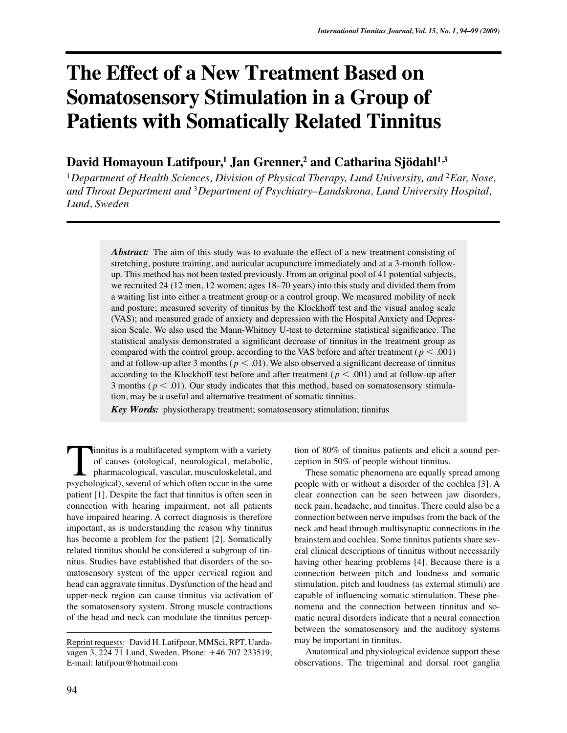# **The Effect of a New Treatment Based on Somatosensory Stimulation in a Group of Patients with Somatically Related Tinnitus**

# **David Homayoun Latifpour,1 Jan Grenner,2 and Catharina Sjödahl1,3**

<sup>1</sup>Department of Health Sciences, Division of Physical Therapy, Lund University, and <sup>2</sup>*Ear*, Nose, *and Throat Department and* <sup>3</sup>*Department of Psychiatry–Landskrona, Lund University Hospital, Lund, Sweden*

> *Abstract:* The aim of this study was to evaluate the effect of a new treatment consisting of stretching, posture training, and auricular acupuncture immediately and at a 3-month followup. This method has not been tested previously. From an original pool of 41 potential subjects, we recruited 24 (12 men, 12 women; ages 18–70 years) into this study and divided them from a waiting list into either a treatment group or a control group. We measured mobility of neck and posture; measured severity of tinnitus by the Klockhoff test and the visual analog scale (VAS); and measured grade of anxiety and depression with the Hospital Anxiety and Depression Scale. We also used the Mann-Whitney U-test to determine statistical significance. The statistical analysis demonstrated a significant decrease of tinnitus in the treatment group as compared with the control group, according to the VAS before and after treatment ( $p < .001$ ) and at follow-up after 3 months ( $p < .01$ ). We also observed a significant decrease of tinnitus according to the Klockhoff test before and after treatment ( $p < .001$ ) and at follow-up after 3 months ( $p < .01$ ). Our study indicates that this method, based on somatosensory stimulation, may be a useful and alternative treatment of somatic tinnitus.

*Key Words:* physiotherapy treatment; somatosensory stimulation; tinnitus

innitus is a multifaceted symptom with a variety of causes (otological, neurological, metabolic, pharmacological, vascular, musculoskeletal, and Innitus is a multifaceted symptom with a variety<br>of causes (otological, neurological, metabolic,<br>pharmacological, vascular, musculoskeletal, and<br>psychological), several of which often occur in the same patient [1]. Despite the fact that tinnitus is often seen in connection with hearing impairment, not all patients have impaired hearing. A correct diagnosis is therefore important, as is understanding the reason why tinnitus has become a problem for the patient [2]. Somatically related tinnitus should be considered a subgroup of tinnitus. Studies have established that disorders of the somatosensory system of the upper cervical region and head can aggravate tinnitus. Dysfunction of the head and upper-neck region can cause tinnitus via activation of the somatosensory system. Strong muscle contractions of the head and neck can modulate the tinnitus percep-

tion of 80% of tinnitus patients and elicit a sound perception in 50% of people without tinnitus.

These somatic phenomena are equally spread among people with or without a disorder of the cochlea [3]. A clear connection can be seen between jaw disorders, neck pain, headache, and tinnitus. There could also be a connection between nerve impulses from the back of the neck and head through multisynaptic connections in the brainstem and cochlea. Some tinnitus patients share several clinical descriptions of tinnitus without necessarily having other hearing problems [4]. Because there is a connection between pitch and loudness and somatic stimulation, pitch and loudness (as external stimuli) are capable of influencing somatic stimulation. These phenomena and the connection between tinnitus and somatic neural disorders indicate that a neural connection between the somatosensory and the auditory systems may be important in tinnitus.

Anatomical and physiological evidence support these observations. The trigeminal and dorsal root ganglia

Reprint requests: David H. Latifpour, MMSci, RPT, Uardavagen 3, 224 71 Lund, Sweden. Phone: 46 707 233519; E-mail: latifpour@hotmail.com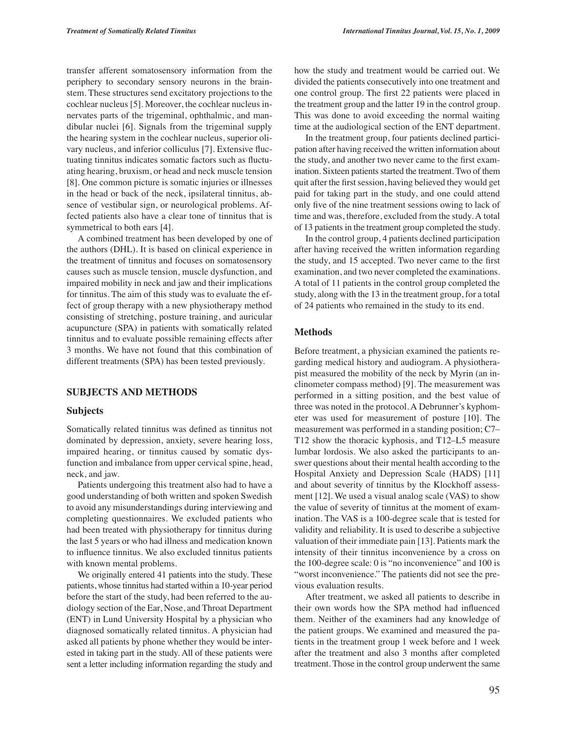transfer afferent somatosensory information from the periphery to secondary sensory neurons in the brainstem. These structures send excitatory projections to the cochlear nucleus [5]. Moreover, the cochlear nucleus innervates parts of the trigeminal, ophthalmic, and mandibular nuclei [6]. Signals from the trigeminal supply the hearing system in the cochlear nucleus, superior olivary nucleus, and inferior colliculus [7]. Extensive fluctuating tinnitus indicates somatic factors such as fluctuating hearing, bruxism, or head and neck muscle tension [8]. One common picture is somatic injuries or illnesses in the head or back of the neck, ipsilateral tinnitus, absence of vestibular sign, or neurological problems. Affected patients also have a clear tone of tinnitus that is symmetrical to both ears [4].

A combined treatment has been developed by one of the authors (DHL). It is based on clinical experience in the treatment of tinnitus and focuses on somatosensory causes such as muscle tension, muscle dysfunction, and impaired mobility in neck and jaw and their implications for tinnitus. The aim of this study was to evaluate the effect of group therapy with a new physiotherapy method consisting of stretching, posture training, and auricular acupuncture (SPA) in patients with somatically related tinnitus and to evaluate possible remaining effects after 3 months. We have not found that this combination of different treatments (SPA) has been tested previously.

### **SUBJECTS AND METHODS**

#### **Subjects**

Somatically related tinnitus was defined as tinnitus not dominated by depression, anxiety, severe hearing loss, impaired hearing, or tinnitus caused by somatic dysfunction and imbalance from upper cervical spine, head, neck, and jaw.

Patients undergoing this treatment also had to have a good understanding of both written and spoken Swedish to avoid any misunderstandings during interviewing and completing questionnaires. We excluded patients who had been treated with physiotherapy for tinnitus during the last 5 years or who had illness and medication known to influence tinnitus. We also excluded tinnitus patients with known mental problems.

We originally entered 41 patients into the study. These patients, whose tinnitus had started within a 10-year period before the start of the study, had been referred to the audiology section of the Ear, Nose, and Throat Department (ENT) in Lund University Hospital by a physician who diagnosed somatically related tinnitus. A physician had asked all patients by phone whether they would be interested in taking part in the study. All of these patients were sent a letter including information regarding the study and how the study and treatment would be carried out. We divided the patients consecutively into one treatment and one control group. The first 22 patients were placed in the treatment group and the latter 19 in the control group. This was done to avoid exceeding the normal waiting time at the audiological section of the ENT department.

In the treatment group, four patients declined participation after having received the written information about the study, and another two never came to the first examination. Sixteen patients started the treatment. Two of them quit after the first session, having believed they would get paid for taking part in the study, and one could attend only five of the nine treatment sessions owing to lack of time and was, therefore, excluded from the study. A total of 13 patients in the treatment group completed the study.

In the control group, 4 patients declined participation after having received the written information regarding the study, and 15 accepted. Two never came to the first examination, and two never completed the examinations. A total of 11 patients in the control group completed the study, along with the 13 in the treatment group, for a total of 24 patients who remained in the study to its end.

#### **Methods**

Before treatment, a physician examined the patients regarding medical history and audiogram. A physiotherapist measured the mobility of the neck by Myrin (an inclinometer compass method) [9]. The measurement was performed in a sitting position, and the best value of three was noted in the protocol. A Debrunner's kyphometer was used for measurement of posture [10]. The measurement was performed in a standing position; C7– T12 show the thoracic kyphosis, and T12–L5 measure lumbar lordosis. We also asked the participants to answer questions about their mental health according to the Hospital Anxiety and Depression Scale (HADS) [11] and about severity of tinnitus by the Klockhoff assessment [12]. We used a visual analog scale (VAS) to show the value of severity of tinnitus at the moment of examination. The VAS is a 100-degree scale that is tested for validity and reliability. It is used to describe a subjective valuation of their immediate pain [13]. Patients mark the intensity of their tinnitus inconvenience by a cross on the 100-degree scale: 0 is "no inconvenience" and 100 is "worst inconvenience." The patients did not see the previous evaluation results.

After treatment, we asked all patients to describe in their own words how the SPA method had influenced them. Neither of the examiners had any knowledge of the patient groups. We examined and measured the patients in the treatment group 1 week before and 1 week after the treatment and also 3 months after completed treatment. Those in the control group underwent the same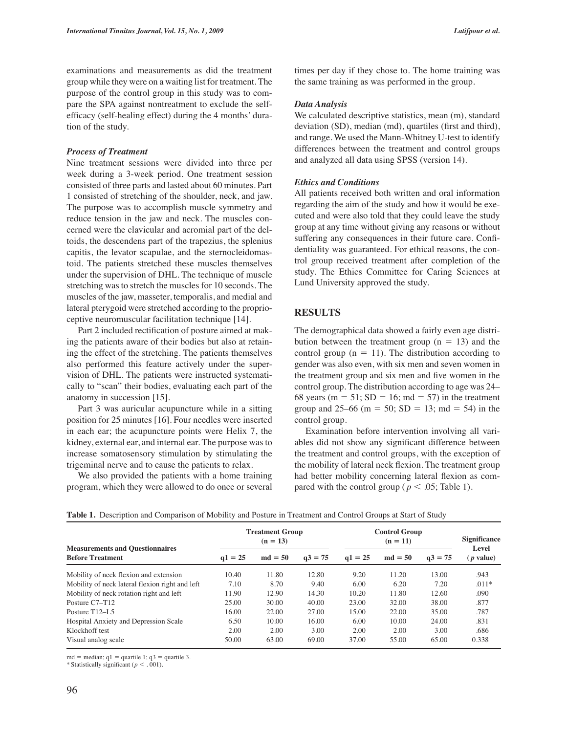examinations and measurements as did the treatment group while they were on a waiting list for treatment. The purpose of the control group in this study was to compare the SPA against nontreatment to exclude the selfefficacy (self-healing effect) during the 4 months' duration of the study.

# *Process of Treatment*

Nine treatment sessions were divided into three per week during a 3-week period. One treatment session consisted of three parts and lasted about 60 minutes. Part 1 consisted of stretching of the shoulder, neck, and jaw. The purpose was to accomplish muscle symmetry and reduce tension in the jaw and neck. The muscles concerned were the clavicular and acromial part of the deltoids, the descendens part of the trapezius, the splenius capitis, the levator scapulae, and the sternocleidomastoid. The patients stretched these muscles themselves under the supervision of DHL. The technique of muscle stretching was to stretch the muscles for 10 seconds. The muscles of the jaw, masseter, temporalis, and medial and lateral pterygoid were stretched according to the proprioceptive neuromuscular facilitation technique [14].

Part 2 included rectification of posture aimed at making the patients aware of their bodies but also at retaining the effect of the stretching. The patients themselves also performed this feature actively under the supervision of DHL. The patients were instructed systematically to "scan" their bodies, evaluating each part of the anatomy in succession [15].

Part 3 was auricular acupuncture while in a sitting position for 25 minutes [16]. Four needles were inserted in each ear; the acupuncture points were Helix 7, the kidney, external ear, and internal ear. The purpose was to increase somatosensory stimulation by stimulating the trigeminal nerve and to cause the patients to relax.

We also provided the patients with a home training program, which they were allowed to do once or several times per day if they chose to. The home training was the same training as was performed in the group.

#### *Data Analysis*

We calculated descriptive statistics, mean (m), standard deviation (SD), median (md), quartiles (first and third), and range. We used the Mann-Whitney U-test to identify differences between the treatment and control groups and analyzed all data using SPSS (version 14).

#### *Ethics and Conditions*

All patients received both written and oral information regarding the aim of the study and how it would be executed and were also told that they could leave the study group at any time without giving any reasons or without suffering any consequences in their future care. Confidentiality was guaranteed. For ethical reasons, the control group received treatment after completion of the study. The Ethics Committee for Caring Sciences at Lund University approved the study.

#### **RESULTS**

The demographical data showed a fairly even age distribution between the treatment group  $(n = 13)$  and the control group ( $n = 11$ ). The distribution according to gender was also even, with six men and seven women in the treatment group and six men and five women in the control group. The distribution according to age was 24– 68 years ( $m = 51$ ; SD = 16; md = 57) in the treatment group and 25–66 (m = 50; SD = 13; md = 54) in the control group.

Examination before intervention involving all variables did not show any significant difference between the treatment and control groups, with the exception of the mobility of lateral neck flexion. The treatment group had better mobility concerning lateral flexion as compared with the control group ( $p < .05$ ; Table 1).

|                                                                   |           | <b>Treatment Group</b><br>$(n = 13)$ |           | <b>Control Group</b> | <b>Significance</b> |           |                            |
|-------------------------------------------------------------------|-----------|--------------------------------------|-----------|----------------------|---------------------|-----------|----------------------------|
| <b>Measurements and Questionnaires</b><br><b>Before Treatment</b> | $a1 = 25$ | $md = 50$                            | $a3 = 75$ | $a1 = 25$            | $md = 50$           | $a3 = 75$ | Level<br>( <i>p</i> value) |
| Mobility of neck flexion and extension                            | 10.40     | 11.80                                | 12.80     | 9.20                 | 11.20               | 13.00     | .943                       |
| Mobility of neck lateral flexion right and left                   | 7.10      | 8.70                                 | 9.40      | 6.00                 | 6.20                | 7.20      | $.011*$                    |
| Mobility of neck rotation right and left                          | 11.90     | 12.90                                | 14.30     | 10.20                | 11.80               | 12.60     | .090                       |
| Posture C7-T12                                                    | 25.00     | 30.00                                | 40.00     | 23.00                | 32.00               | 38.00     | .877                       |
| Posture $T12-1.5$                                                 | 16.00     | 22.00                                | 27.00     | 15.00                | 22.00               | 35.00     | .787                       |
| <b>Hospital Anxiety and Depression Scale</b>                      | 6.50      | 10.00                                | 16.00     | 6.00                 | 10.00               | 24.00     | .831                       |
| Klockhoff test                                                    | 2.00      | 2.00                                 | 3.00      | 2.00                 | 2.00                | 3.00      | .686                       |
| Visual analog scale                                               | 50.00     | 63.00                                | 69.00     | 37.00                | 55.00               | 65.00     | 0.338                      |

**Table 1.** Description and Comparison of Mobility and Posture in Treatment and Control Groups at Start of Study

md = median;  $q1$  = quartile 1;  $q3$  = quartile 3.

\* Statistically significant ( $p < .001$ ).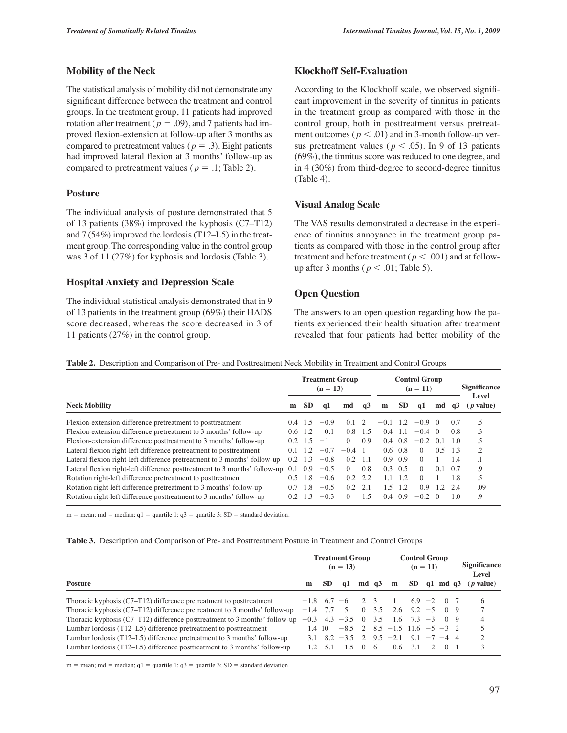# **Mobility of the Neck**

The statistical analysis of mobility did not demonstrate any significant difference between the treatment and control groups. In the treatment group, 11 patients had improved rotation after treatment ( $p = .09$ ), and 7 patients had improved flexion-extension at follow-up after 3 months as compared to pretreatment values ( $p = .3$ ). Eight patients had improved lateral flexion at 3 months' follow-up as compared to pretreatment values ( $p = .1$ ; Table 2).

# **Posture**

The individual analysis of posture demonstrated that 5 of 13 patients (38%) improved the kyphosis (C7–T12) and 7 (54%) improved the lordosis (T12–L5) in the treatment group. The corresponding value in the control group was 3 of 11 (27%) for kyphosis and lordosis (Table 3).

# **Hospital Anxiety and Depression Scale**

The individual statistical analysis demonstrated that in 9 of 13 patients in the treatment group (69%) their HADS score decreased, whereas the score decreased in 3 of 11 patients (27%) in the control group.

# **Klockhoff Self-Evaluation**

According to the Klockhoff scale, we observed significant improvement in the severity of tinnitus in patients in the treatment group as compared with those in the control group, both in posttreatment versus pretreatment outcomes ( $p < .01$ ) and in 3-month follow-up versus pretreatment values ( $p < .05$ ). In 9 of 13 patients (69%), the tinnitus score was reduced to one degree, and in 4 (30%) from third-degree to second-degree tinnitus (Table 4).

# **Visual Analog Scale**

The VAS results demonstrated a decrease in the experience of tinnitus annoyance in the treatment group patients as compared with those in the control group after treatment and before treatment ( $p < .001$ ) and at followup after 3 months ( $p < .01$ ; Table 5).

# **Open Question**

The answers to an open question regarding how the patients experienced their health situation after treatment revealed that four patients had better mobility of the

**Table 2.** Description and Comparison of Pre- and Posttreatment Neck Mobility in Treatment and Control Groups

|                                                                            |               |                | $(n = 13)$ | <b>Treatment Group</b> | <b>Control Group</b><br>$(n = 11)$ |               |                 |                |               | <b>Significance</b><br>Level |                   |
|----------------------------------------------------------------------------|---------------|----------------|------------|------------------------|------------------------------------|---------------|-----------------|----------------|---------------|------------------------------|-------------------|
| <b>Neck Mobility</b>                                                       | m             | <b>SD</b>      | αl         | md                     | $\alpha$ <sup>3</sup>              | m             | <b>SD</b>       | <sub>a</sub> 1 | md            | - G.3                        | ( <i>p</i> value) |
| Flexion-extension difference pretreatment to posttreatment                 | (14)          | 1.5            | $-0.9$     | 0.1                    | 2                                  | $-0.1$        | 1.2             | $-0.9 \quad 0$ |               | 0.7                          |                   |
| Flexion-extension difference pretreatment to 3 months' follow-up           | $0.6^{\circ}$ | 1.2.           | 0.1        | 0.8                    | 1.5                                | $0.4^{\circ}$ | -1.1            | $-0.4 \quad 0$ |               | 0.8                          | 3                 |
| Flexion-extension difference posttreatment to 3 months' follow-up          | 0.2           | $+5$           | $-1$       | $\Omega$               | 0.9                                | $0.4^{\circ}$ | 0.8             | $-0.2$         | $\Omega$      | 10                           | .5                |
| Lateral flexion right-left difference pretreatment to posttreatment        | $^{\circ}$    | $\overline{2}$ | $-0.7$     | $-0.4$                 |                                    |               | $0.6 \quad 0.8$ | $\Omega$       | 0.5           | -1.3                         | .2                |
| Lateral flexion right-left difference pretreatment to 3 months' follow-up  | $0.2^{\circ}$ | 1.3            | $-0.8$     | 02                     | 1.1                                |               | $0.9 \quad 0.9$ | $\Omega$       |               | 1.4                          |                   |
| Lateral flexion right-left difference posttreatment to 3 months' follow-up | 0.1           | 0.9            | $-0.5$     | $\Omega$               | 0.8                                | 0.3           | 0.5             | $\Omega$       | 0.1           | 0.7                          | 9.                |
| Rotation right-left difference pretreatment to posttreatment               | 0.5           | 18             | $-0.6$     | 0.2                    | 2.2                                | 1.1           | 12              | $\Omega$       |               | 18                           | .5                |
| Rotation right-left difference pretreatment to 3 months' follow-up         | 0.7           | 18             | $-0.5$     | 0.2                    | 2.1                                | 1.5           | 1.2             | 0.9            | $\mathcal{D}$ |                              | .09               |
| Rotation right-left difference posttreatment to 3 months' follow-up        | 02            | 1.3            | $-0.3$     | $\Omega$               | 1.5                                | $0.4^{\circ}$ | 0.9             | $-0.2$         | $\bigcap$     | 10                           | 9.                |

 $m =$  mean;  $md =$  median;  $q1 =$  quartile 1;  $q3 =$  quartile 3;  $SD =$  standard deviation.

#### **Table 3.** Description and Comparison of Pre- and Posttreatment Posture in Treatment and Control Groups

|                                                                             |              |        | <b>Treatment Group</b><br>$(n = 13)$ |         | <b>Control Group</b><br>$(n = 11)$          |                           |  |  | <b>Significance</b><br>Level |  |
|-----------------------------------------------------------------------------|--------------|--------|--------------------------------------|---------|---------------------------------------------|---------------------------|--|--|------------------------------|--|
| <b>Posture</b>                                                              | m            | SD.    | q1                                   | $md$ q3 | m                                           | $SD$ q1 md q3             |  |  | ( <i>p</i> value)            |  |
| Thoracic kyphosis $(C7-T12)$ difference pretreatment to posttreatment       |              |        | $-1.8$ 6.7 $-6$ 2 3                  |         | $\sim$ 1                                    | $6.9 - 2 \quad 0 \quad 7$ |  |  | $\epsilon$                   |  |
| Thoracic kyphosis $(C7-T12)$ difference pretreatment to 3 months' follow-up | $-1.4$ 7.7 5 |        |                                      |         | $0$ 3.5 2.6 9.2 -5 0 9                      |                           |  |  | .7                           |  |
| Thoracic kyphosis (C7–T12) difference posttreatment to 3 months' follow-up  |              |        |                                      |         | $-0.3$ 4.3 $-3.5$ 0 3.5 1.6 7.3 $-3$ 0 9    |                           |  |  | $\mathcal{A}$                |  |
| Lumbar lordosis (T12–L5) difference pretreatment to posttreatment           |              | 1.4 10 |                                      |         | $-8.5$ 2 $8.5$ $-1.5$ $11.6$ $-5$ $-3$ 2    |                           |  |  | .5                           |  |
| Lumbar lordosis $(T12-L5)$ difference pretreatment to 3 months' follow-up   |              |        |                                      |         | 3.1 8.2 $-3.5$ 2 9.5 $-2.1$ 9.1 $-7$ $-4$ 4 |                           |  |  | .2                           |  |
| Lumbar lordosis $(T12-L5)$ difference posttreatment to 3 months' follow-up  |              |        |                                      |         | 1.2 $5.1$ $-1.5$ 0 6 $-0.6$ 3.1 $-2$ 0 1    |                           |  |  | $\cdot$ 3                    |  |

 $m =$  mean; md = median; q1 = quartile 1; q3 = quartile 3; SD = standard deviation.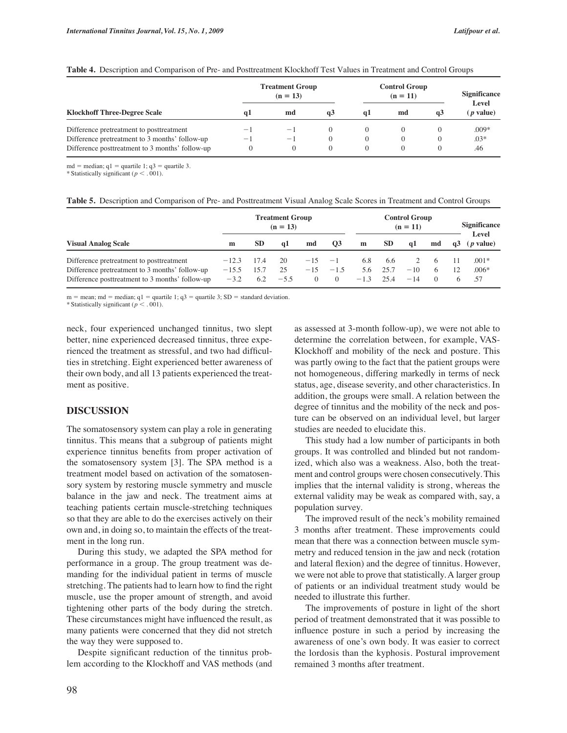|                                                 |                          | <b>Treatment Group</b><br>$(n = 13)$ |                | <b>Control Group</b> | <b>Significance</b><br>Level |          |                   |  |
|-------------------------------------------------|--------------------------|--------------------------------------|----------------|----------------------|------------------------------|----------|-------------------|--|
| <b>Klockhoff Three-Degree Scale</b>             | αı                       | md                                   | a <sub>3</sub> | αl                   | md                           | q3       | ( <i>p</i> value) |  |
| Difference pretreatment to posttreatment        | $-1$                     | $-$                                  |                |                      | $\theta$                     | $\theta$ | $.009*$           |  |
| Difference pretreatment to 3 months' follow-up  | $\overline{\phantom{a}}$ | $\overline{\phantom{a}}$             |                |                      | $\left($                     | $\Omega$ | $.03*$            |  |
| Difference posttreatment to 3 months' follow-up |                          |                                      |                | $\Omega$             | $\theta$                     | $\Omega$ | .46               |  |

#### **Table 4.** Description and Comparison of Pre- and Posttreatment Klockhoff Test Values in Treatment and Control Groups

md = median;  $q1$  = quartile 1;  $q3$  = quartile 3.

\* Statistically significant  $(p < .001)$ .

|  |  | Table 5. Description and Comparison of Pre- and Posttreatment Visual Analog Scale Scores in Treatment and Control Groups |
|--|--|--------------------------------------------------------------------------------------------------------------------------|
|  |  |                                                                                                                          |

|                                                                                                                                               | <b>Treatment Group</b><br>$(n = 13)$ |             |                    |                     |                            | <b>Control Group</b><br>$(n = 11)$ |                     |                |                          |    | <b>Significance</b><br>Level |  |  |
|-----------------------------------------------------------------------------------------------------------------------------------------------|--------------------------------------|-------------|--------------------|---------------------|----------------------------|------------------------------------|---------------------|----------------|--------------------------|----|------------------------------|--|--|
| <b>Visual Analog Scale</b>                                                                                                                    | m                                    | <b>SD</b>   | αl                 | md                  | <b>O3</b>                  | m                                  | <b>SD</b>           | αl             | md                       | q3 | ( <i>p</i> value)            |  |  |
| Difference pretreatment to posttreatment<br>Difference pretreatment to 3 months' follow-up<br>Difference posttreatment to 3 months' follow-up | $-12.3$<br>$-15.5$<br>$-3.2$         | 17.4<br>6.2 | 20<br>25<br>$-5.5$ | $-15$<br>$-15$<br>0 | $-1$<br>$-1.5$<br>$\Omega$ | 6.8<br>5.6<br>$-1.3$               | 6.6<br>25.7<br>25.4 | $-10$<br>$-14$ | <sub>6</sub><br>$\Omega$ |    | $.001*$<br>$.006*$<br>.57    |  |  |

 $m =$  mean; md = median; q1 = quartile 1; q3 = quartile 3; SD = standard deviation.

\* Statistically significant ( $p < .001$ ).

neck, four experienced unchanged tinnitus, two slept better, nine experienced decreased tinnitus, three experienced the treatment as stressful, and two had difficulties in stretching. Eight experienced better awareness of their own body, and all 13 patients experienced the treatment as positive.

# **DISCUSSION**

The somatosensory system can play a role in generating tinnitus. This means that a subgroup of patients might experience tinnitus benefits from proper activation of the somatosensory system [3]. The SPA method is a treatment model based on activation of the somatosensory system by restoring muscle symmetry and muscle balance in the jaw and neck. The treatment aims at teaching patients certain muscle-stretching techniques so that they are able to do the exercises actively on their own and, in doing so, to maintain the effects of the treatment in the long run.

During this study, we adapted the SPA method for performance in a group. The group treatment was demanding for the individual patient in terms of muscle stretching. The patients had to learn how to find the right muscle, use the proper amount of strength, and avoid tightening other parts of the body during the stretch. These circumstances might have influenced the result, as many patients were concerned that they did not stretch the way they were supposed to.

Despite significant reduction of the tinnitus problem according to the Klockhoff and VAS methods (and as assessed at 3-month follow-up), we were not able to determine the correlation between, for example, VAS-Klockhoff and mobility of the neck and posture. This was partly owing to the fact that the patient groups were not homogeneous, differing markedly in terms of neck status, age, disease severity, and other characteristics. In addition, the groups were small. A relation between the degree of tinnitus and the mobility of the neck and posture can be observed on an individual level, but larger studies are needed to elucidate this.

This study had a low number of participants in both groups. It was controlled and blinded but not randomized, which also was a weakness. Also, both the treatment and control groups were chosen consecutively. This implies that the internal validity is strong, whereas the external validity may be weak as compared with, say, a population survey.

The improved result of the neck's mobility remained 3 months after treatment. These improvements could mean that there was a connection between muscle symmetry and reduced tension in the jaw and neck (rotation and lateral flexion) and the degree of tinnitus. However, we were not able to prove that statistically. A larger group of patients or an individual treatment study would be needed to illustrate this further.

The improvements of posture in light of the short period of treatment demonstrated that it was possible to influence posture in such a period by increasing the awareness of one's own body. It was easier to correct the lordosis than the kyphosis. Postural improvement remained 3 months after treatment.